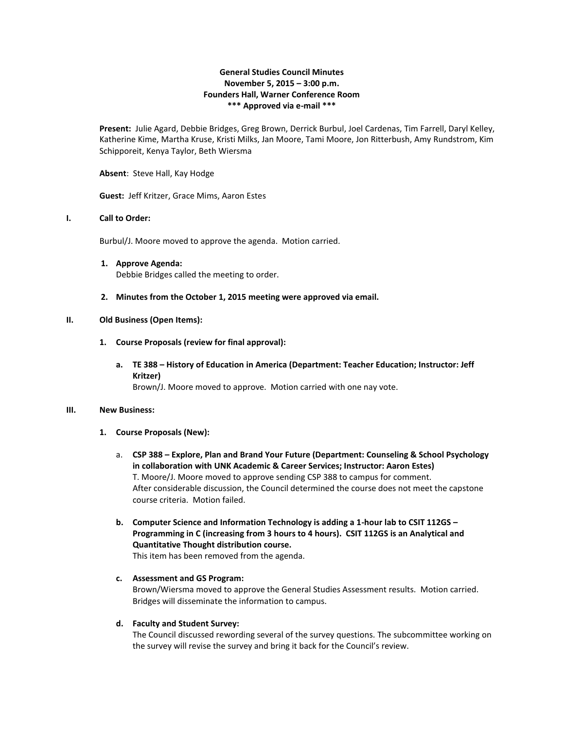# **General Studies Council Minutes November 5, 2015 – 3:00 p.m. Founders Hall, Warner Conference Room \*\*\* Approved via e-mail \*\*\***

**Present:** Julie Agard, Debbie Bridges, Greg Brown, Derrick Burbul, Joel Cardenas, Tim Farrell, Daryl Kelley, Katherine Kime, Martha Kruse, Kristi Milks, Jan Moore, Tami Moore, Jon Ritterbush, Amy Rundstrom, Kim Schipporeit, Kenya Taylor, Beth Wiersma

**Absent**: Steve Hall, Kay Hodge

**Guest:** Jeff Kritzer, Grace Mims, Aaron Estes

### **I. Call to Order:**

Burbul/J. Moore moved to approve the agenda. Motion carried.

**1. Approve Agenda:**

Debbie Bridges called the meeting to order.

**2. Minutes from the October 1, 2015 meeting were approved via email.**

# **II. Old Business (Open Items):**

- **1. Course Proposals (review for final approval):** 
	- **a. TE 388 – History of Education in America (Department: Teacher Education; Instructor: Jeff Kritzer)** Brown/J. Moore moved to approve. Motion carried with one nay vote.

#### **III. New Business:**

#### **1. Course Proposals (New):**

- a. **CSP 388 – Explore, Plan and Brand Your Future (Department: Counseling & School Psychology in collaboration with UNK Academic & Career Services; Instructor: Aaron Estes)** T. Moore/J. Moore moved to approve sending CSP 388 to campus for comment. After considerable discussion, the Council determined the course does not meet the capstone course criteria. Motion failed.
- **b. Computer Science and Information Technology is adding a 1-hour lab to CSIT 112GS – Programming in C (increasing from 3 hours to 4 hours). CSIT 112GS is an Analytical and Quantitative Thought distribution course.**

This item has been removed from the agenda.

**c. Assessment and GS Program:**

Brown/Wiersma moved to approve the General Studies Assessment results. Motion carried. Bridges will disseminate the information to campus.

# **d. Faculty and Student Survey:**

The Council discussed rewording several of the survey questions. The subcommittee working on the survey will revise the survey and bring it back for the Council's review.